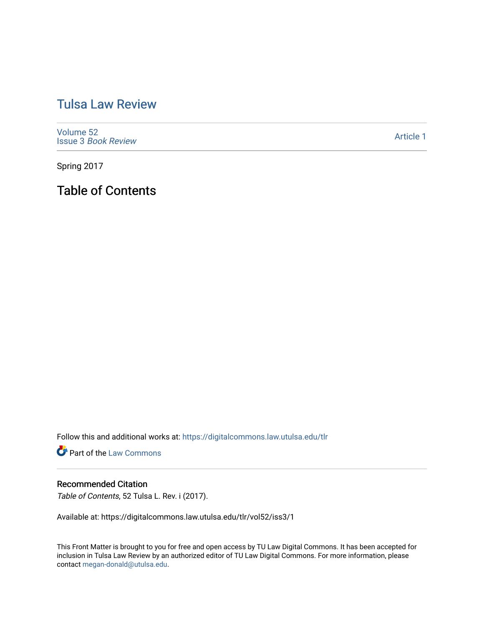## [Tulsa Law Review](https://digitalcommons.law.utulsa.edu/tlr)

[Volume 52](https://digitalcommons.law.utulsa.edu/tlr/vol52) Issue 3 [Book Review](https://digitalcommons.law.utulsa.edu/tlr/vol52/iss3)

[Article 1](https://digitalcommons.law.utulsa.edu/tlr/vol52/iss3/1) 

Spring 2017

Table of Contents

Follow this and additional works at: [https://digitalcommons.law.utulsa.edu/tlr](https://digitalcommons.law.utulsa.edu/tlr?utm_source=digitalcommons.law.utulsa.edu%2Ftlr%2Fvol52%2Fiss3%2F1&utm_medium=PDF&utm_campaign=PDFCoverPages) 

**Part of the [Law Commons](http://network.bepress.com/hgg/discipline/578?utm_source=digitalcommons.law.utulsa.edu%2Ftlr%2Fvol52%2Fiss3%2F1&utm_medium=PDF&utm_campaign=PDFCoverPages)** 

## Recommended Citation

Table of Contents, 52 Tulsa L. Rev. i (2017).

Available at: https://digitalcommons.law.utulsa.edu/tlr/vol52/iss3/1

This Front Matter is brought to you for free and open access by TU Law Digital Commons. It has been accepted for inclusion in Tulsa Law Review by an authorized editor of TU Law Digital Commons. For more information, please contact [megan-donald@utulsa.edu.](mailto:megan-donald@utulsa.edu)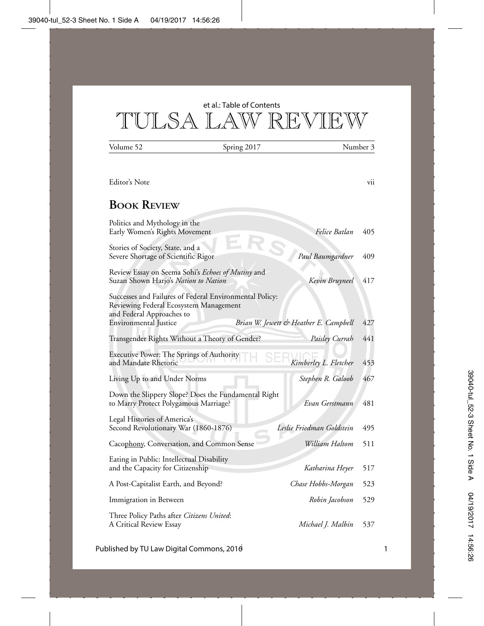TULSA LAW REVIEW et al.: Table of Contents

Volume 52 Spring 2017 Number 3

| Editor's Note                                                                                                                                                                                           | vii |
|---------------------------------------------------------------------------------------------------------------------------------------------------------------------------------------------------------|-----|
| <b>BOOK REVIEW</b>                                                                                                                                                                                      |     |
| Politics and Mythology in the<br>Felice Batlan<br>Early Women's Rights Movement                                                                                                                         | 405 |
| Stories of Society, State, and a<br>Severe Shortage of Scientific Rigor<br>Paul Baumgardner                                                                                                             | 409 |
| Review Essay on Seema Sohi's Echoes of Mutiny and<br>Suzan Shown Harjo's Nation to Nation<br>Kevin Bruyneel                                                                                             | 417 |
| Successes and Failures of Federal Environmental Policy:<br>Reviewing Federal Ecosystem Management<br>and Federal Approaches to<br>Brian W. Jewett & Heather E. Campbell<br><b>Environmental Justice</b> | 427 |
| Transgender Rights Without a Theory of Gender?<br>Paisley Currah                                                                                                                                        | 441 |
| Executive Power: The Springs of Authority<br>Kimberley L. Fletcher<br>and Mandate Rhetoric                                                                                                              | 453 |
| Living Up to and Under Norms<br>Stephen R. Galoob                                                                                                                                                       | 467 |
| Down the Slippery Slope? Does the Fundamental Right<br>to Marry Protect Polygamous Marriage?<br>Evan Gerstmann                                                                                          | 481 |
| Legal Histories of America's<br>Second Revolutionary War (1860-1876)<br>Leslie Friedman Goldstein                                                                                                       | 495 |
| William Haltom<br>Cacophony, Conversation, and Common Sense                                                                                                                                             | 511 |
| Eating in Public: Intellectual Disability<br>and the Capacity for Citizenship<br>Katharina Heyer                                                                                                        | 517 |
| A Post-Capitalist Earth, and Beyond?<br>Chase Hobbs-Morgan                                                                                                                                              | 523 |
| Immigration in Between<br>Robin Jacobson                                                                                                                                                                | 529 |
| Three Policy Paths after Citizens United:<br>Michael J. Malbin<br>A Critical Review Essay                                                                                                               | 537 |

Published by TU Law Digital Commons, 2016